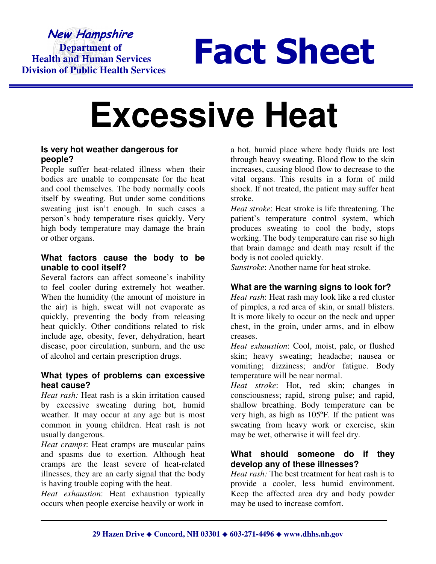## New Hampshire  **Department of Health and Human Services Division of Public Health Services**

# Fact Sheet

# **Excessive Heat**

#### **Is very hot weather dangerous for people?**

People suffer heat-related illness when their bodies are unable to compensate for the heat and cool themselves. The body normally cools itself by sweating. But under some conditions sweating just isn't enough. In such cases a person's body temperature rises quickly. Very high body temperature may damage the brain or other organs.

#### **What factors cause the body to be unable to cool itself?**

Several factors can affect someone's inability to feel cooler during extremely hot weather. When the humidity (the amount of moisture in the air) is high, sweat will not evaporate as quickly, preventing the body from releasing heat quickly. Other conditions related to risk include age, obesity, fever, dehydration, heart disease, poor circulation, sunburn, and the use of alcohol and certain prescription drugs.

#### **What types of problems can excessive heat cause?**

*Heat rash:* Heat rash is a skin irritation caused by excessive sweating during hot, humid weather. It may occur at any age but is most common in young children. Heat rash is not usually dangerous.

*Heat cramps*: Heat cramps are muscular pains and spasms due to exertion. Although heat cramps are the least severe of heat-related illnesses, they are an early signal that the body is having trouble coping with the heat.

*Heat exhaustion*: Heat exhaustion typically occurs when people exercise heavily or work in

a hot, humid place where body fluids are lost through heavy sweating. Blood flow to the skin increases, causing blood flow to decrease to the vital organs. This results in a form of mild shock. If not treated, the patient may suffer heat stroke.

*Heat stroke*: Heat stroke is life threatening. The patient's temperature control system, which produces sweating to cool the body, stops working. The body temperature can rise so high that brain damage and death may result if the body is not cooled quickly.

*Sunstroke*: Another name for heat stroke.

### **What are the warning signs to look for?**

*Heat rash*: Heat rash may look like a red cluster of pimples, a red area of skin, or small blisters. It is more likely to occur on the neck and upper chest, in the groin, under arms, and in elbow creases.

*Heat exhaustion*: Cool, moist, pale, or flushed skin; heavy sweating; headache; nausea or vomiting; dizziness; and/or fatigue. Body temperature will be near normal.

*Heat stroke*: Hot, red skin; changes in consciousness; rapid, strong pulse; and rapid, shallow breathing. Body temperature can be very high, as high as 105ºF. If the patient was sweating from heavy work or exercise, skin may be wet, otherwise it will feel dry.

#### **What should someone do if they develop any of these illnesses?**

*Heat rash:* The best treatment for heat rash is to provide a cooler, less humid environment. Keep the affected area dry and body powder may be used to increase comfort.